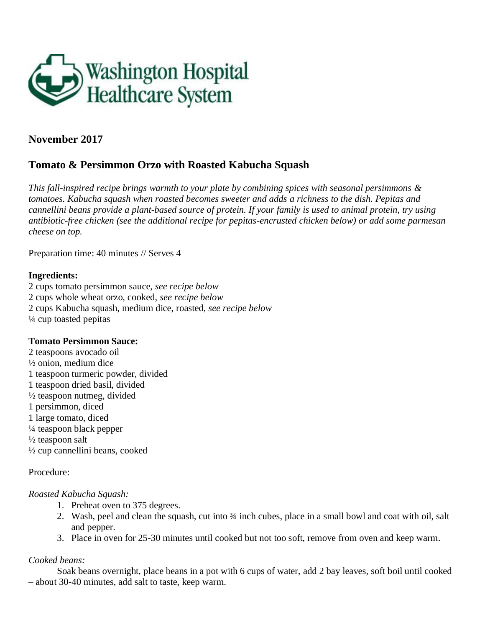

# **November 2017**

# **Tomato & Persimmon Orzo with Roasted Kabucha Squash**

*This fall-inspired recipe brings warmth to your plate by combining spices with seasonal persimmons & tomatoes. Kabucha squash when roasted becomes sweeter and adds a richness to the dish. Pepitas and cannellini beans provide a plant-based source of protein. If your family is used to animal protein, try using antibiotic-free chicken (see the additional recipe for pepitas-encrusted chicken below) or add some parmesan cheese on top.* 

Preparation time: 40 minutes // Serves 4

#### **Ingredients:**

2 cups tomato persimmon sauce, *see recipe below* 2 cups whole wheat orzo, cooked, *see recipe below* 2 cups Kabucha squash, medium dice, roasted, *see recipe below* ¼ cup toasted pepitas

#### **Tomato Persimmon Sauce:**

2 teaspoons avocado oil ½ onion, medium dice 1 teaspoon turmeric powder, divided 1 teaspoon dried basil, divided  $\frac{1}{2}$  teaspoon nutmeg, divided 1 persimmon, diced 1 large tomato, diced ¼ teaspoon black pepper  $\frac{1}{2}$  teaspoon salt ½ cup cannellini beans, cooked

## Procedure:

#### *Roasted Kabucha Squash:*

- 1. Preheat oven to 375 degrees.
- 2. Wash, peel and clean the squash, cut into ¾ inch cubes, place in a small bowl and coat with oil, salt and pepper.
- 3. Place in oven for 25-30 minutes until cooked but not too soft, remove from oven and keep warm.

## *Cooked beans:*

Soak beans overnight, place beans in a pot with 6 cups of water, add 2 bay leaves, soft boil until cooked – about 30-40 minutes, add salt to taste, keep warm.